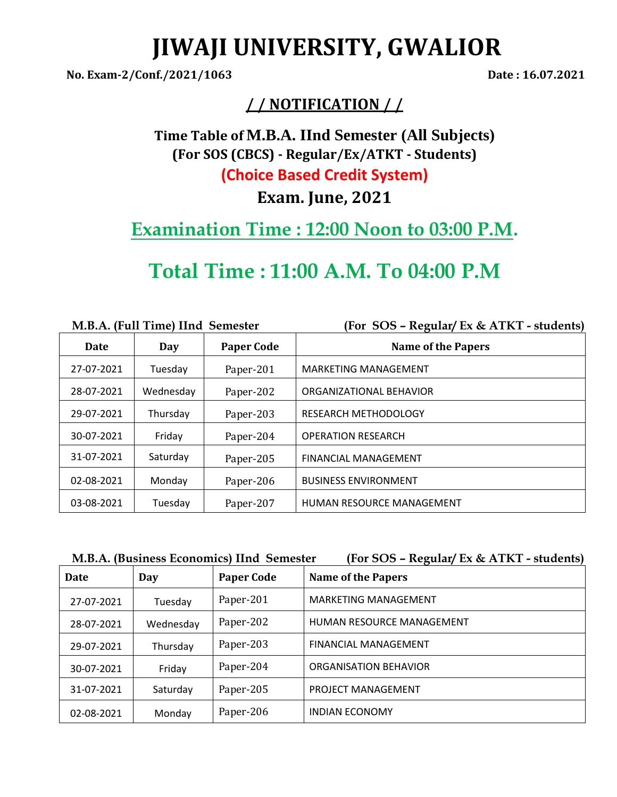# **JIWAJI UNIVERSITY, GWALIOR**

**No. Exam-2/Conf./2021/1063 Date : 16.07.2021**

## **/ / NOTIFICATION / /**

**Time Table of [M.B.A. IInd Semester \(](http://www.jiwaji.edu/admin/PDF/NoticeBoard2012/Revised%20Notification%20Regarding%20Form%20Filling%20Examination%20%20Date%20of%20M.B.A.%20(Full%20Time)(HA)(H.R.D.)(FA)(CSM)%20(Fine%20&%20Pharma),%20M.B.A.%20%20(E-Commerce),%20(B.E.)(TA)2883.pdf)All Subjects) (For SOS (CBCS) - Regular/Ex/ATKT - Students) (Choice Based Credit System)**

**Exam. June, 2021**

**Examination Time : 12:00 Noon to 03:00 P.M.**

# **Total Time : 11:00 A.M. To 04:00 P.M**

|            | M.B.A. (Full Time) IInd Semester |                   | (For SOS - Regular/ Ex & ATKT - students) |
|------------|----------------------------------|-------------------|-------------------------------------------|
| Date       | Day                              | <b>Paper Code</b> | <b>Name of the Papers</b>                 |
| 27-07-2021 | Tuesday                          | Paper-201         | <b>MARKETING MANAGEMENT</b>               |
| 28-07-2021 | Wednesday                        | Paper-202         | ORGANIZATIONAL BEHAVIOR                   |
| 29-07-2021 | Thursday                         | Paper-203         | <b>RESEARCH METHODOLOGY</b>               |
| 30-07-2021 | Friday                           | Paper-204         | <b>OPERATION RESEARCH</b>                 |
| 31-07-2021 | Saturday                         | Paper-205         | <b>FINANCIAL MANAGEMENT</b>               |
| 02-08-2021 | Monday                           | Paper-206         | <b>BUSINESS ENVIRONMENT</b>               |
| 03-08-2021 | Tuesday                          | Paper-207         | HUMAN RESOURCE MANAGEMENT                 |

| M.B.A. (Business Economics) IInd Semester |  |  |  |  |  |
|-------------------------------------------|--|--|--|--|--|
|-------------------------------------------|--|--|--|--|--|

**M.b.** (For SOS – Regular/ Ex & ATKT - students)

| Date       | Day       | <b>Paper Code</b> | <b>Name of the Papers</b>   |
|------------|-----------|-------------------|-----------------------------|
| 27-07-2021 | Tuesday   | Paper-201         | <b>MARKETING MANAGEMENT</b> |
| 28-07-2021 | Wednesday | Paper-202         | HUMAN RESOURCE MANAGEMENT   |
| 29-07-2021 | Thursday  | Paper-203         | <b>FINANCIAL MANAGEMENT</b> |
| 30-07-2021 | Friday    | Paper-204         | ORGANISATION BEHAVIOR       |
| 31-07-2021 | Saturday  | Paper-205         | <b>PROJECT MANAGEMENT</b>   |
| 02-08-2021 | Monday    | Paper-206         | <b>INDIAN ECONOMY</b>       |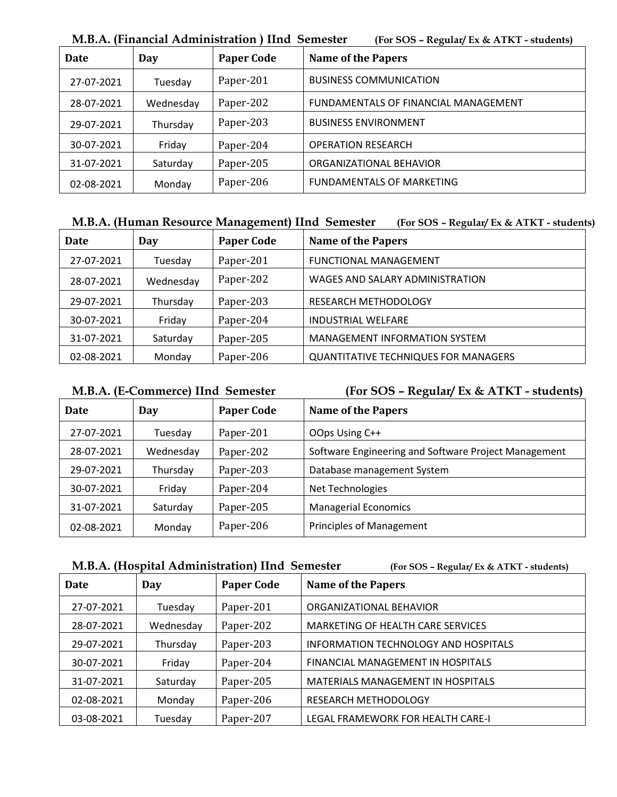|            |           | 1,1,D,I в (1 пиници 1 кипипониноп ) ппи оспісоки | $\mu$ of $\sigma$ or $\mu$ and $\mu$ and $\alpha$ finite $\sigma$ |
|------------|-----------|--------------------------------------------------|-------------------------------------------------------------------|
| Date       | Day       | <b>Paper Code</b>                                | <b>Name of the Papers</b>                                         |
| 27-07-2021 | Tuesday   | Paper-201                                        | <b>BUSINESS COMMUNICATION</b>                                     |
| 28-07-2021 | Wednesday | Paper-202                                        | FUNDAMENTALS OF FINANCIAL MANAGEMENT                              |
| 29-07-2021 | Thursday  | Paper-203                                        | <b>BUSINESS ENVIRONMENT</b>                                       |
| 30-07-2021 | Friday    | Paper-204                                        | <b>OPERATION RESEARCH</b>                                         |
| 31-07-2021 | Saturday  | Paper-205                                        | ORGANIZATIONAL BEHAVIOR                                           |
| 02-08-2021 | Monday    | Paper-206                                        | <b>FUNDAMENTALS OF MARKETING</b>                                  |

**M.B.A. (Financial Administration ) IInd Semester (For SOS – Regular/ Ex & ATKT - students)**

### **M.B.A. (Human Resource Management) IInd Semester (For SOS – Regular/ Ex & ATKT - students)**

| Date       | Day       | <b>Paper Code</b> | <b>Name of the Papers</b>                   |
|------------|-----------|-------------------|---------------------------------------------|
| 27-07-2021 | Tuesday   | Paper-201         | <b>FUNCTIONAL MANAGEMENT</b>                |
| 28-07-2021 | Wednesday | Paper-202         | WAGES AND SALARY ADMINISTRATION             |
| 29-07-2021 | Thursday  | Paper-203         | <b>RESEARCH METHODOLOGY</b>                 |
| 30-07-2021 | Friday    | Paper-204         | <b>INDUSTRIAL WELFARE</b>                   |
| 31-07-2021 | Saturday  | Paper-205         | <b>MANAGEMENT INFORMATION SYSTEM</b>        |
| 02-08-2021 | Monday    | Paper-206         | <b>QUANTITATIVE TECHNIQUES FOR MANAGERS</b> |

### **M.B.A. (E-Commerce) IInd Semester (For SOS – Regular/ Ex & ATKT - students)**

| Date       | Day       | <b>Paper Code</b> | <b>Name of the Papers</b>                            |
|------------|-----------|-------------------|------------------------------------------------------|
| 27-07-2021 | Tuesday   | Paper-201         | OOps Using C++                                       |
| 28-07-2021 | Wednesday | Paper-202         | Software Engineering and Software Project Management |
| 29-07-2021 | Thursday  | Paper-203         | Database management System                           |
| 30-07-2021 | Friday    | Paper-204         | Net Technologies                                     |
| 31-07-2021 | Saturday  | Paper-205         | <b>Managerial Economics</b>                          |
| 02-08-2021 | Monday    | Paper-206         | <b>Principles of Management</b>                      |

|  |  |  | M.B.A. (Hospital Administration) IInd Semester |
|--|--|--|------------------------------------------------|
|  |  |  |                                                |

**M.B.A. (Hospital Administration) IInd Semester (For SOS – Regular/ Ex & ATKT - students)**

| Date       | Day       | <b>Paper Code</b> | <b>Name of the Papers</b>                |
|------------|-----------|-------------------|------------------------------------------|
| 27-07-2021 | Tuesday   | Paper-201         | ORGANIZATIONAL BEHAVIOR                  |
| 28-07-2021 | Wednesday | Paper-202         | MARKETING OF HEALTH CARE SERVICES        |
| 29-07-2021 | Thursday  | Paper-203         | INFORMATION TECHNOLOGY AND HOSPITALS     |
| 30-07-2021 | Friday    | Paper-204         | FINANCIAL MANAGEMENT IN HOSPITALS        |
| 31-07-2021 | Saturday  | Paper-205         | <b>MATERIALS MANAGEMENT IN HOSPITALS</b> |
| 02-08-2021 | Monday    | Paper-206         | <b>RESEARCH METHODOLOGY</b>              |
| 03-08-2021 | Tuesday   | Paper-207         | LEGAL FRAMEWORK FOR HEALTH CARE-I        |